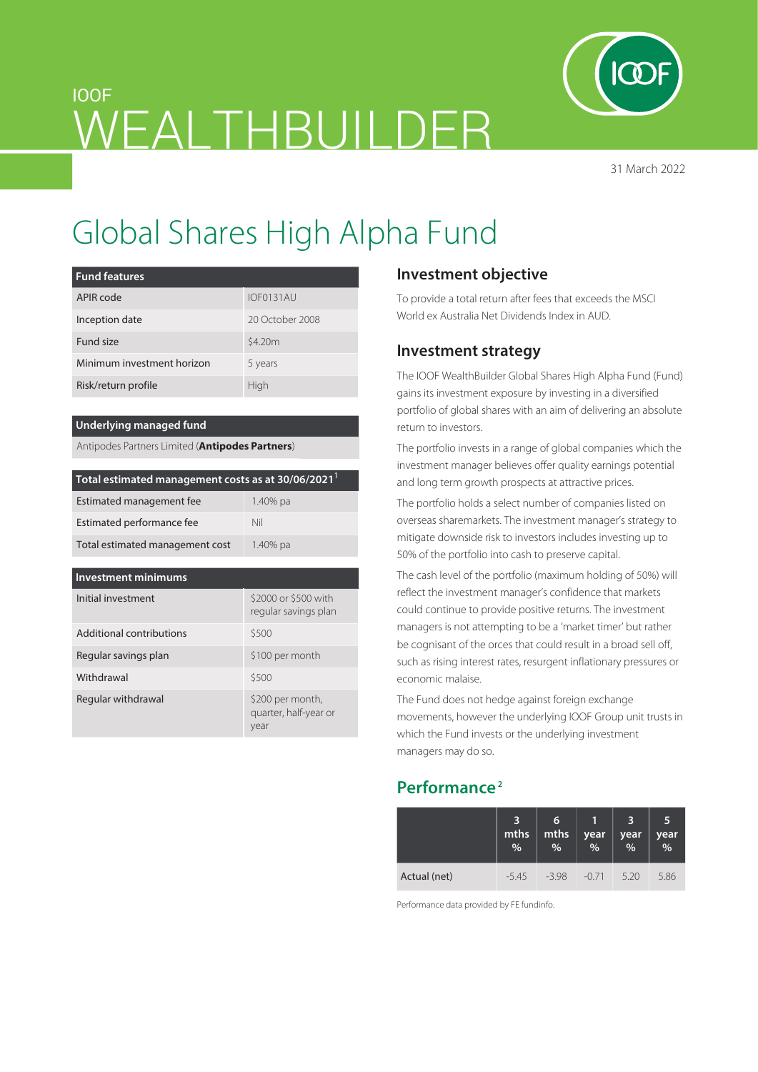

31 March 2022

# IOOF WEALTHBUILDER

# Global Shares High Alpha Fund

| <b>Fund features</b>       |                 |  |
|----------------------------|-----------------|--|
| APIR code                  | IOF0131AU       |  |
| Inception date             | 20 October 2008 |  |
| Fund size                  | \$4.20m         |  |
| Minimum investment horizon | 5 years         |  |
| Risk/return profile        | High            |  |

#### **Underlying managed fund**

Antipodes Partners Limited (**Antipodes Partners**)

| Total estimated management costs as at 30/06/2021 <sup>1</sup> |          |  |  |  |
|----------------------------------------------------------------|----------|--|--|--|
| Estimated management fee                                       | 1.40% pa |  |  |  |
| Estimated performance fee                                      | Nil      |  |  |  |
| Total estimated management cost                                | 1.40% pa |  |  |  |

| <b>Investment minimums</b> |                                                   |  |  |  |  |
|----------------------------|---------------------------------------------------|--|--|--|--|
| Initial investment         | \$2000 or \$500 with<br>regular savings plan      |  |  |  |  |
| Additional contributions   | \$500                                             |  |  |  |  |
| Regular savings plan       | \$100 per month                                   |  |  |  |  |
| Withdrawal                 | \$500                                             |  |  |  |  |
| Regular withdrawal         | \$200 per month,<br>quarter, half-year or<br>year |  |  |  |  |

# **Investment objective**

To provide a total return after fees that exceeds the MSCI World ex Australia Net Dividends Index in AUD.

## **Investment strategy**

The IOOF WealthBuilder Global Shares High Alpha Fund (Fund) gains its investment exposure by investing in a diversified portfolio of global shares with an aim of delivering an absolute return to investors.

The portfolio invests in a range of global companies which the investment manager believes offer quality earnings potential and long term growth prospects at attractive prices.

The portfolio holds a select number of companies listed on overseas sharemarkets. The investment manager's strategy to mitigate downside risk to investors includes investing up to 50% of the portfolio into cash to preserve capital.

The cash level of the portfolio (maximum holding of 50%) will reflect the investment manager's confidence that markets could continue to provide positive returns. The investment managers is not attempting to be a 'market timer' but rather be cognisant of the orces that could result in a broad sell off, such as rising interest rates, resurgent inflationary pressures or economic malaise.

The Fund does not hedge against foreign exchange movements, however the underlying IOOF Group unit trusts in which the Fund invests or the underlying investment managers may do so.

# **Performance 2**

|              | 3<br>mths<br>% | $6\overline{6}$<br>mths<br>$\frac{1}{2}$ | year<br>% | З<br>year<br>$\frac{0}{0}$ | 5<br>year<br>$\frac{1}{2}$ |
|--------------|----------------|------------------------------------------|-----------|----------------------------|----------------------------|
| Actual (net) | $-5.45$        | $-398$                                   | $-0.71$   | 5.20                       | 5.86                       |

Performance data provided by FE fundinfo.